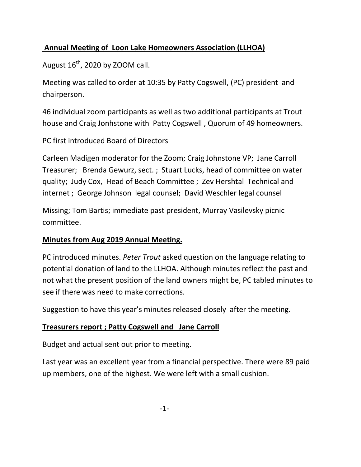# **Annual Meeting of Loon Lake Homeowners Association (LLHOA)**

August  $16<sup>th</sup>$ , 2020 by ZOOM call.

Meeting was called to order at 10:35 by Patty Cogswell, (PC) president and chairperson.

46 individual zoom participants as well as two additional participants at Trout house and Craig Jonhstone with Patty Cogswell , Quorum of 49 homeowners.

PC first introduced Board of Directors

Carleen Madigen moderator for the Zoom; Craig Johnstone VP; Jane Carroll Treasurer; Brenda Gewurz, sect. ; Stuart Lucks, head of committee on water quality; Judy Cox, Head of Beach Committee ; Zev Hershtal Technical and internet ; George Johnson legal counsel; David Weschler legal counsel

Missing; Tom Bartis; immediate past president, Murray Vasilevsky picnic committee.

# **Minutes from Aug 2019 Annual Meeting.**

PC introduced minutes. *Peter Trout* asked question on the language relating to potential donation of land to the LLHOA. Although minutes reflect the past and not what the present position of the land owners might be, PC tabled minutes to see if there was need to make corrections.

Suggestion to have this year's minutes released closely after the meeting.

# **Treasurers report ; Patty Cogswell and Jane Carroll**

Budget and actual sent out prior to meeting.

Last year was an excellent year from a financial perspective. There were 89 paid up members, one of the highest. We were left with a small cushion.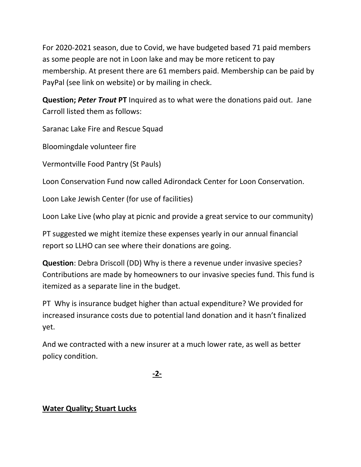For 2020-2021 season, due to Covid, we have budgeted based 71 paid members as some people are not in Loon lake and may be more reticent to pay membership. At present there are 61 members paid. Membership can be paid by PayPal (see link on website) or by mailing in check.

**Question;** *Peter Trout* **PT** Inquired as to what were the donations paid out. Jane Carroll listed them as follows:

Saranac Lake Fire and Rescue Squad

Bloomingdale volunteer fire

Vermontville Food Pantry (St Pauls)

Loon Conservation Fund now called Adirondack Center for Loon Conservation.

Loon Lake Jewish Center (for use of facilities)

Loon Lake Live (who play at picnic and provide a great service to our community)

PT suggested we might itemize these expenses yearly in our annual financial report so LLHO can see where their donations are going.

**Question**: Debra Driscoll (DD) Why is there a revenue under invasive species? Contributions are made by homeowners to our invasive species fund. This fund is itemized as a separate line in the budget.

PT Why is insurance budget higher than actual expenditure? We provided for increased insurance costs due to potential land donation and it hasn't finalized yet.

And we contracted with a new insurer at a much lower rate, as well as better policy condition.

**-2-**

## **Water Quality; Stuart Lucks**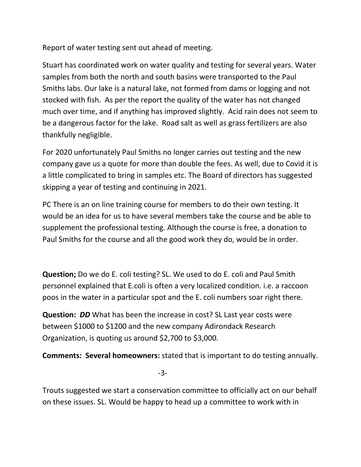Report of water testing sent out ahead of meeting.

Stuart has coordinated work on water quality and testing for several years. Water samples from both the north and south basins were transported to the Paul Smiths labs. Our lake is a natural lake, not formed from dams or logging and not stocked with fish. As per the report the quality of the water has not changed much over time, and if anything has improved slightly. Acid rain does not seem to be a dangerous factor for the lake. Road salt as well as grass fertilizers are also thankfully negligible.

For 2020 unfortunately Paul Smiths no longer carries out testing and the new company gave us a quote for more than double the fees. As well, due to Covid it is a little complicated to bring in samples etc. The Board of directors has suggested skipping a year of testing and continuing in 2021.

PC There is an on line training course for members to do their own testing. It would be an idea for us to have several members take the course and be able to supplement the professional testing. Although the course is free, a donation to Paul Smiths for the course and all the good work they do, would be in order.

**Question;** Do we do E. coli testing? SL. We used to do E. coli and Paul Smith personnel explained that E.coli is often a very localized condition. i.e. a raccoon poos in the water in a particular spot and the E. coli numbers soar right there.

**Question:** *DD* What has been the increase in cost? SL Last year costs were between \$1000 to \$1200 and the new company Adirondack Research Organization, is quoting us around \$2,700 to \$3,000.

**Comments: Several homeowners:** stated that is important to do testing annually.

-3-

Trouts suggested we start a conservation committee to officially act on our behalf on these issues. SL. Would be happy to head up a committee to work with in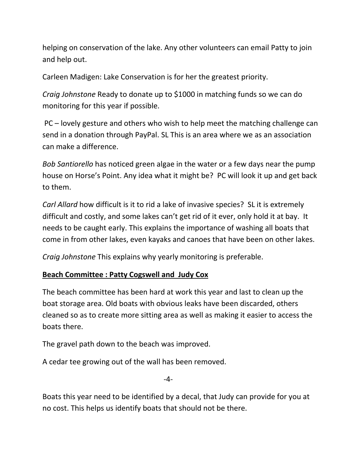helping on conservation of the lake. Any other volunteers can email Patty to join and help out.

Carleen Madigen: Lake Conservation is for her the greatest priority.

*Craig Johnstone* Ready to donate up to \$1000 in matching funds so we can do monitoring for this year if possible.

PC – lovely gesture and others who wish to help meet the matching challenge can send in a donation through PayPal. SL This is an area where we as an association can make a difference.

*Bob Santiorello* has noticed green algae in the water or a few days near the pump house on Horse's Point. Any idea what it might be? PC will look it up and get back to them.

*Carl Allard* how difficult is it to rid a lake of invasive species? SL it is extremely difficult and costly, and some lakes can't get rid of it ever, only hold it at bay. It needs to be caught early. This explains the importance of washing all boats that come in from other lakes, even kayaks and canoes that have been on other lakes.

*Craig Johnstone* This explains why yearly monitoring is preferable.

## **Beach Committee : Patty Cogswell and Judy Cox**

The beach committee has been hard at work this year and last to clean up the boat storage area. Old boats with obvious leaks have been discarded, others cleaned so as to create more sitting area as well as making it easier to access the boats there.

The gravel path down to the beach was improved.

A cedar tee growing out of the wall has been removed.

-4-

Boats this year need to be identified by a decal, that Judy can provide for you at no cost. This helps us identify boats that should not be there.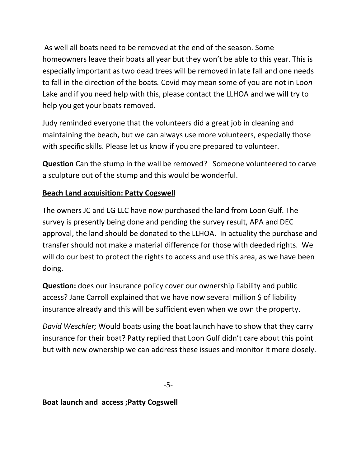As well all boats need to be removed at the end of the season. Some homeowners leave their boats all year but they won't be able to this year. This is especially important as two dead trees will be removed in late fall and one needs to fall in the direction of the boats*.* Covid may mean some of you are not in Loo*n* Lake and if you need help with this, please contact the LLHOA and we will try to help you get your boats removed.

Judy reminded everyone that the volunteers did a great job in cleaning and maintaining the beach, but we can always use more volunteers, especially those with specific skills. Please let us know if you are prepared to volunteer.

**Question** Can the stump in the wall be removed? Someone volunteered to carve a sculpture out of the stump and this would be wonderful.

## **Beach Land acquisition: Patty Cogswell**

The owners JC and LG LLC have now purchased the land from Loon Gulf. The survey is presently being done and pending the survey result, APA and DEC approval, the land should be donated to the LLHOA. In actuality the purchase and transfer should not make a material difference for those with deeded rights. We will do our best to protect the rights to access and use this area, as we have been doing.

**Question:** does our insurance policy cover our ownership liability and public access? Jane Carroll explained that we have now several million \$ of liability insurance already and this will be sufficient even when we own the property.

*David Weschler;* Would boats using the boat launch have to show that they carry insurance for their boat? Patty replied that Loon Gulf didn't care about this point but with new ownership we can address these issues and monitor it more closely.

-5-техника и против в селото на 15-техника и 15-техника и 15-техника и 15-техника и 15-техника и 15-техника и<br>В 15-техника и 15-техника и 15-техника и 15-техника и 15-техника и 15-техника и 15-техника и 15-техника и 15-т

#### **Boat launch and access ;Patty Cogswell**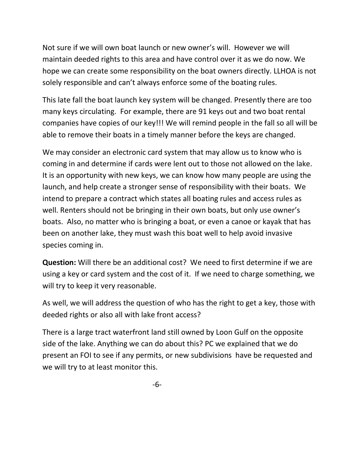Not sure if we will own boat launch or new owner's will. However we will maintain deeded rights to this area and have control over it as we do now. We hope we can create some responsibility on the boat owners directly. LLHOA is not solely responsible and can't always enforce some of the boating rules.

This late fall the boat launch key system will be changed. Presently there are too many keys circulating. For example, there are 91 keys out and two boat rental companies have copies of our key!!! We will remind people in the fall so all will be able to remove their boats in a timely manner before the keys are changed.

We may consider an electronic card system that may allow us to know who is coming in and determine if cards were lent out to those not allowed on the lake. It is an opportunity with new keys, we can know how many people are using the launch, and help create a stronger sense of responsibility with their boats. We intend to prepare a contract which states all boating rules and access rules as well. Renters should not be bringing in their own boats, but only use owner's boats. Also, no matter who is bringing a boat, or even a canoe or kayak that has been on another lake, they must wash this boat well to help avoid invasive species coming in.

**Question:** Will there be an additional cost? We need to first determine if we are using a key or card system and the cost of it. If we need to charge something, we will try to keep it very reasonable.

As well, we will address the question of who has the right to get a key, those with deeded rights or also all with lake front access?

There is a large tract waterfront land still owned by Loon Gulf on the opposite side of the lake. Anything we can do about this? PC we explained that we do present an FOI to see if any permits, or new subdivisions have be requested and we will try to at least monitor this.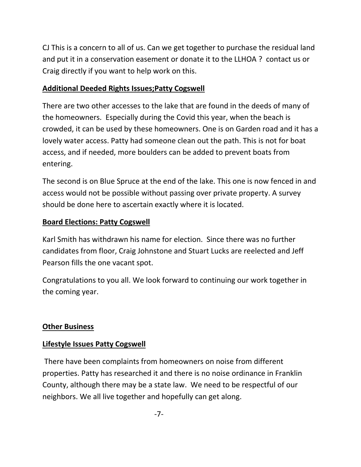CJ This is a concern to all of us. Can we get together to purchase the residual land and put it in a conservation easement or donate it to the LLHOA ? contact us or Craig directly if you want to help work on this.

## **Additional Deeded Rights Issues;Patty Cogswell**

There are two other accesses to the lake that are found in the deeds of many of the homeowners. Especially during the Covid this year, when the beach is crowded, it can be used by these homeowners. One is on Garden road and it has a lovely water access. Patty had someone clean out the path. This is not for boat access, and if needed, more boulders can be added to prevent boats from entering.

The second is on Blue Spruce at the end of the lake. This one is now fenced in and access would not be possible without passing over private property. A survey should be done here to ascertain exactly where it is located.

# **Board Elections: Patty Cogswell**

Karl Smith has withdrawn his name for election. Since there was no further candidates from floor, Craig Johnstone and Stuart Lucks are reelected and Jeff Pearson fills the one vacant spot.

Congratulations to you all. We look forward to continuing our work together in the coming year.

# **Other Business**

# **Lifestyle Issues Patty Cogswell**

There have been complaints from homeowners on noise from different properties. Patty has researched it and there is no noise ordinance in Franklin County, although there may be a state law. We need to be respectful of our neighbors. We all live together and hopefully can get along.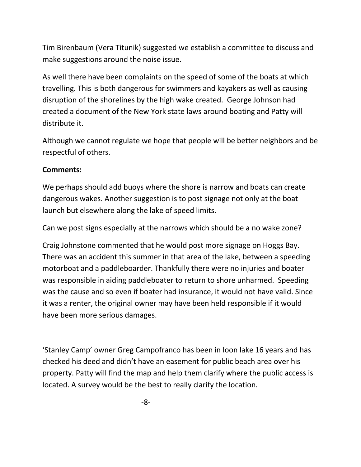Tim Birenbaum (Vera Titunik) suggested we establish a committee to discuss and make suggestions around the noise issue.

As well there have been complaints on the speed of some of the boats at which travelling. This is both dangerous for swimmers and kayakers as well as causing disruption of the shorelines by the high wake created. George Johnson had created a document of the New York state laws around boating and Patty will distribute it.

Although we cannot regulate we hope that people will be better neighbors and be respectful of others.

## **Comments:**

We perhaps should add buoys where the shore is narrow and boats can create dangerous wakes. Another suggestion is to post signage not only at the boat launch but elsewhere along the lake of speed limits.

Can we post signs especially at the narrows which should be a no wake zone?

Craig Johnstone commented that he would post more signage on Hoggs Bay. There was an accident this summer in that area of the lake, between a speeding motorboat and a paddleboarder. Thankfully there were no injuries and boater was responsible in aiding paddleboater to return to shore unharmed. Speeding was the cause and so even if boater had insurance, it would not have valid. Since it was a renter, the original owner may have been held responsible if it would have been more serious damages.

'Stanley Camp' owner Greg Campofranco has been in loon lake 16 years and has checked his deed and didn't have an easement for public beach area over his property. Patty will find the map and help them clarify where the public access is located. A survey would be the best to really clarify the location.